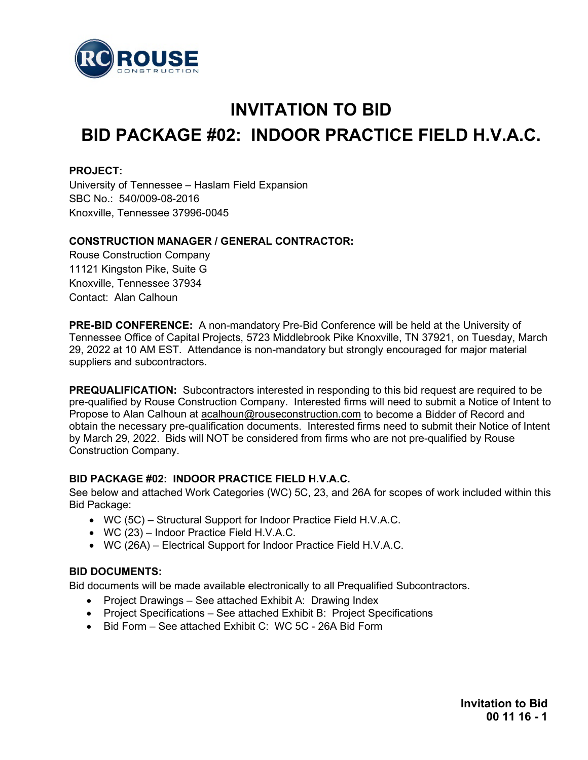

# **INVITATION TO BID BID PACKAGE #02: INDOOR PRACTICE FIELD H.V.A.C.**

#### **PROJECT:**

University of Tennessee – Haslam Field Expansion SBC No.: 540/009-08-2016 Knoxville, Tennessee 37996-0045

### **CONSTRUCTION MANAGER / GENERAL CONTRACTOR:**

Rouse Construction Company 11121 Kingston Pike, Suite G Knoxville, Tennessee 37934 Contact: Alan Calhoun

**PRE-BID CONFERENCE:** A non-mandatory Pre-Bid Conference will be held at the University of Tennessee Office of Capital Projects, 5723 Middlebrook Pike Knoxville, TN 37921, on Tuesday, March 29, 2022 at 10 AM EST. Attendance is non-mandatory but strongly encouraged for major material suppliers and subcontractors.

**PREQUALIFICATION:** Subcontractors interested in responding to this bid request are required to be pre-qualified by Rouse Construction Company. Interested firms will need to submit a Notice of Intent to Propose to Alan Calhoun at [acalhoun@rouseconstruction.com](mailto:acalhoun@rouseconstruction.com) to become a Bidder of Record and obtain the necessary pre-qualification documents. Interested firms need to submit their Notice of Intent by March 29, 2022. Bids will NOT be considered from firms who are not pre-qualified by Rouse Construction Company.

## **BID PACKAGE #02: INDOOR PRACTICE FIELD H.V.A.C.**

See below and attached Work Categories (WC) 5C, 23, and 26A for scopes of work included within this Bid Package:

- WC (5C) Structural Support for Indoor Practice Field H.V.A.C.
- WC (23) Indoor Practice Field H.V.A.C.
- WC (26A) Electrical Support for Indoor Practice Field H.V.A.C.

## **BID DOCUMENTS:**

Bid documents will be made available electronically to all Prequalified Subcontractors.

- Project Drawings See attached Exhibit A: Drawing Index
- Project Specifications See attached Exhibit B: Project Specifications
- Bid Form See attached Exhibit C: WC 5C 26A Bid Form